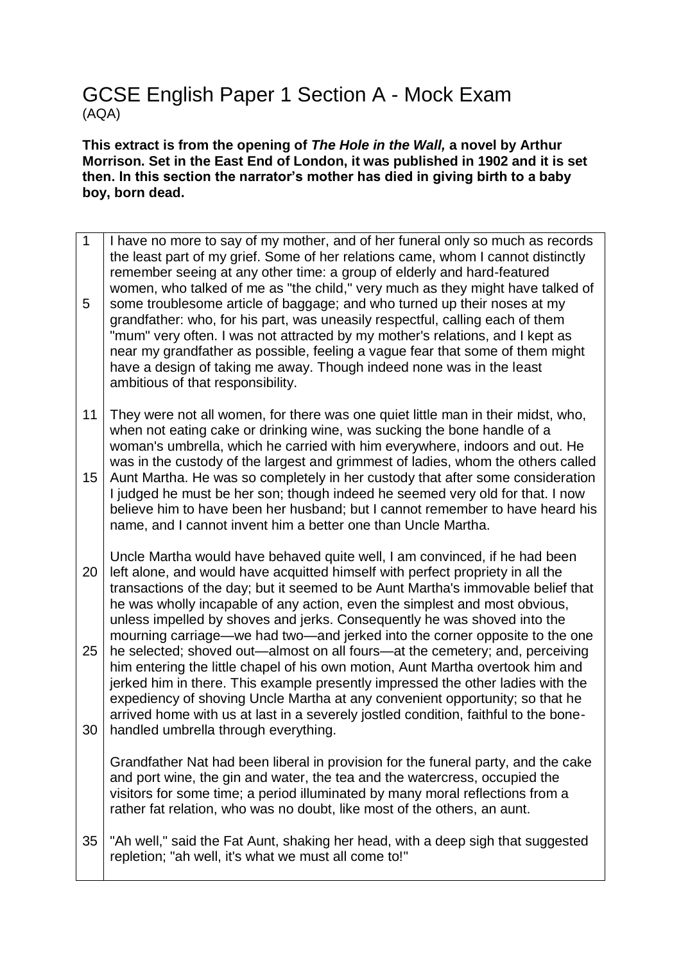# GCSE English Paper 1 Section A - Mock Exam (AQA)

**This extract is from the opening of** *The Hole in the Wall,* **a novel by Arthur Morrison. Set in the East End of London, it was published in 1902 and it is set then. In this section the narrator's mother has died in giving birth to a baby boy, born dead.** 

- 1 5 I have no more to say of my mother, and of her funeral only so much as records the least part of my grief. Some of her relations came, whom I cannot distinctly remember seeing at any other time: a group of elderly and hard-featured women, who talked of me as "the child," very much as they might have talked of some troublesome article of baggage; and who turned up their noses at my grandfather: who, for his part, was uneasily respectful, calling each of them "mum" very often. I was not attracted by my mother's relations, and I kept as near my grandfather as possible, feeling a vague fear that some of them might have a design of taking me away. Though indeed none was in the least ambitious of that responsibility.
- 11 They were not all women, for there was one quiet little man in their midst, who, when not eating cake or drinking wine, was sucking the bone handle of a woman's umbrella, which he carried with him everywhere, indoors and out. He was in the custody of the largest and grimmest of ladies, whom the others called
- 15 Aunt Martha. He was so completely in her custody that after some consideration I judged he must be her son; though indeed he seemed very old for that. I now believe him to have been her husband; but I cannot remember to have heard his name, and I cannot invent him a better one than Uncle Martha.
- 20 25 Uncle Martha would have behaved quite well, I am convinced, if he had been left alone, and would have acquitted himself with perfect propriety in all the transactions of the day; but it seemed to be Aunt Martha's immovable belief that he was wholly incapable of any action, even the simplest and most obvious, unless impelled by shoves and jerks. Consequently he was shoved into the mourning carriage—we had two—and jerked into the corner opposite to the one he selected; shoved out—almost on all fours—at the cemetery; and, perceiving him entering the little chapel of his own motion, Aunt Martha overtook him and
- 30 jerked him in there. This example presently impressed the other ladies with the expediency of shoving Uncle Martha at any convenient opportunity; so that he arrived home with us at last in a severely jostled condition, faithful to the bonehandled umbrella through everything.

Grandfather Nat had been liberal in provision for the funeral party, and the cake and port wine, the gin and water, the tea and the watercress, occupied the visitors for some time; a period illuminated by many moral reflections from a rather fat relation, who was no doubt, like most of the others, an aunt.

35 "Ah well," said the Fat Aunt, shaking her head, with a deep sigh that suggested repletion; "ah well, it's what we must all come to!"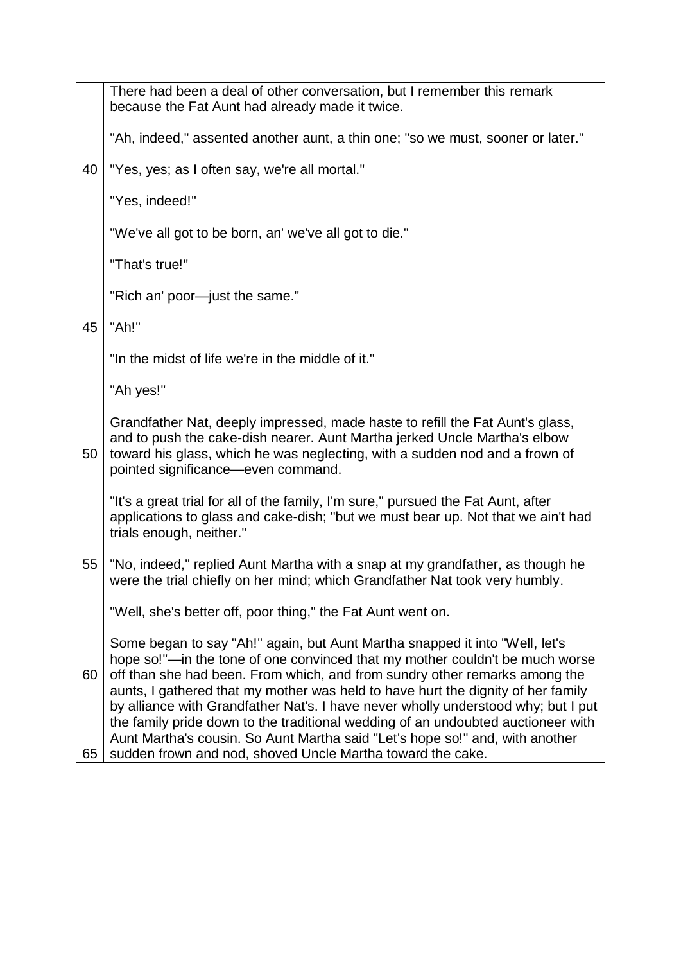|          | There had been a deal of other conversation, but I remember this remark<br>because the Fat Aunt had already made it twice.                                                                                                                                                                                                                                                                                                                                                                                                                                                                                                                           |
|----------|------------------------------------------------------------------------------------------------------------------------------------------------------------------------------------------------------------------------------------------------------------------------------------------------------------------------------------------------------------------------------------------------------------------------------------------------------------------------------------------------------------------------------------------------------------------------------------------------------------------------------------------------------|
|          | "Ah, indeed," assented another aunt, a thin one; "so we must, sooner or later."                                                                                                                                                                                                                                                                                                                                                                                                                                                                                                                                                                      |
| 40       | "Yes, yes; as I often say, we're all mortal."                                                                                                                                                                                                                                                                                                                                                                                                                                                                                                                                                                                                        |
|          | "Yes, indeed!"                                                                                                                                                                                                                                                                                                                                                                                                                                                                                                                                                                                                                                       |
|          | "We've all got to be born, an' we've all got to die."                                                                                                                                                                                                                                                                                                                                                                                                                                                                                                                                                                                                |
|          | "That's true!"                                                                                                                                                                                                                                                                                                                                                                                                                                                                                                                                                                                                                                       |
|          | "Rich an' poor-just the same."                                                                                                                                                                                                                                                                                                                                                                                                                                                                                                                                                                                                                       |
| 45       | "Ah!"                                                                                                                                                                                                                                                                                                                                                                                                                                                                                                                                                                                                                                                |
|          | "In the midst of life we're in the middle of it."                                                                                                                                                                                                                                                                                                                                                                                                                                                                                                                                                                                                    |
|          | "Ah yes!"                                                                                                                                                                                                                                                                                                                                                                                                                                                                                                                                                                                                                                            |
| 50       | Grandfather Nat, deeply impressed, made haste to refill the Fat Aunt's glass,<br>and to push the cake-dish nearer. Aunt Martha jerked Uncle Martha's elbow<br>toward his glass, which he was neglecting, with a sudden nod and a frown of<br>pointed significance—even command.                                                                                                                                                                                                                                                                                                                                                                      |
|          | "It's a great trial for all of the family, I'm sure," pursued the Fat Aunt, after<br>applications to glass and cake-dish; "but we must bear up. Not that we ain't had<br>trials enough, neither."                                                                                                                                                                                                                                                                                                                                                                                                                                                    |
| 55       | "No, indeed," replied Aunt Martha with a snap at my grandfather, as though he<br>were the trial chiefly on her mind; which Grandfather Nat took very humbly.                                                                                                                                                                                                                                                                                                                                                                                                                                                                                         |
|          | "Well, she's better off, poor thing," the Fat Aunt went on.                                                                                                                                                                                                                                                                                                                                                                                                                                                                                                                                                                                          |
| 60<br>65 | Some began to say "Ah!" again, but Aunt Martha snapped it into "Well, let's<br>hope so!"—in the tone of one convinced that my mother couldn't be much worse<br>off than she had been. From which, and from sundry other remarks among the<br>aunts, I gathered that my mother was held to have hurt the dignity of her family<br>by alliance with Grandfather Nat's. I have never wholly understood why; but I put<br>the family pride down to the traditional wedding of an undoubted auctioneer with<br>Aunt Martha's cousin. So Aunt Martha said "Let's hope so!" and, with another<br>sudden frown and nod, shoved Uncle Martha toward the cake. |